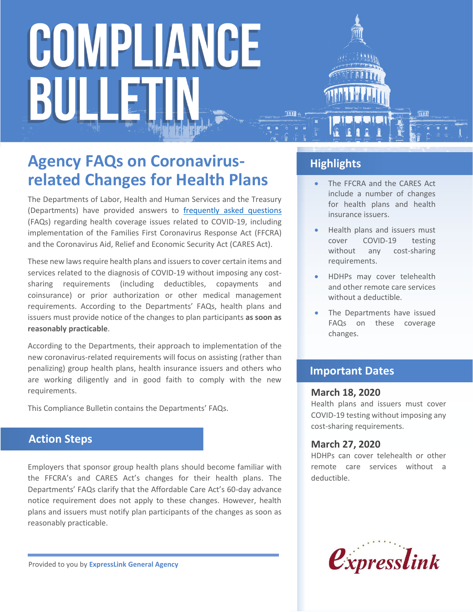### **Agency FAQs on Coronavirusrelated Changes for Health Plans**

The Departments of Labor, Health and Human Services and the Treasury (Departments) have provided answers to [frequently asked questions](https://www.dol.gov/sites/dolgov/files/ebsa/about-ebsa/our-activities/resource-center/faqs/aca-part-42.pdf) (FAQs) regarding health coverage issues related to COVID-19, including implementation of the Families First Coronavirus Response Act (FFCRA) and the Coronavirus Aid, Relief and Economic Security Act (CARES Act).

These new laws require health plans and issuers to cover certain items and services related to the diagnosis of COVID-19 without imposing any costsharing requirements (including deductibles, copayments and coinsurance) or prior authorization or other medical management requirements. According to the Departments' FAQs, health plans and issuers must provide notice of the changes to plan participants **as soon as reasonably practicable**.

According to the Departments, their approach to implementation of the new coronavirus-related requirements will focus on assisting (rather than penalizing) group health plans, health insurance issuers and others who are working diligently and in good faith to comply with the new requirements.

This Compliance Bulletin contains the Departments' FAQs.

#### **Action Steps**

Employers that sponsor group health plans should become familiar with the FFCRA's and CARES Act's changes for their health plans. The Departments' FAQs clarify that the Affordable Care Act's 60-day advance notice requirement does not apply to these changes. However, health plans and issuers must notify plan participants of the changes as soon as reasonably practicable.

**Highlights**

- The FFCRA and the CARES Act include a number of changes for health plans and health insurance issuers.
- Health plans and issuers must cover COVID-19 testing without any cost-sharing requirements.
- HDHPs may cover telehealth and other remote care services without a deductible.
- The Departments have issued FAQs on these coverage changes.

#### **Important Dates**

#### **March 18, 2020**

Health plans and issuers must cover COVID-19 testing without imposing any cost-sharing requirements.

#### **March 27, 2020**

HDHPs can cover telehealth or other remote care services without a deductible.



Provided to you by **ExpressLink General Agency**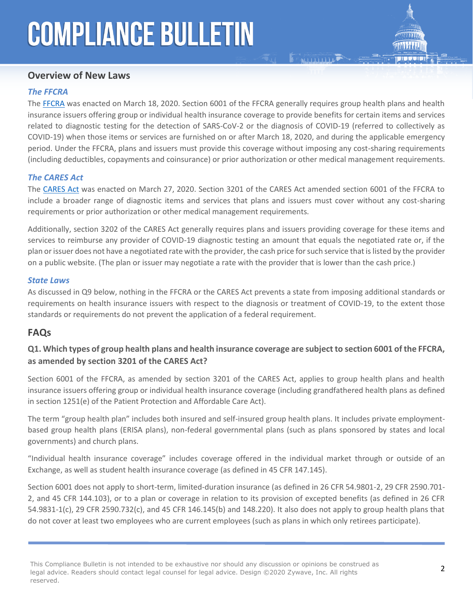#### **Overview of New Laws**

#### *The FFCRA*

The [FFCRA](https://www.congress.gov/116/bills/hr6201/BILLS-116hr6201eh.pdf) was enacted on March 18, 2020. Section 6001 of the FFCRA generally requires group health plans and health insurance issuers offering group or individual health insurance coverage to provide benefits for certain items and services related to diagnostic testing for the detection of SARS-CoV-2 or the diagnosis of COVID-19 (referred to collectively as COVID-19) when those items or services are furnished on or after March 18, 2020, and during the applicable emergency period. Under the FFCRA, plans and issuers must provide this coverage without imposing any cost-sharing requirements (including deductibles, copayments and coinsurance) or prior authorization or other medical management requirements.

#### *The CARES Act*

The [CARES Act](https://www.congress.gov/bill/116th-congress/house-bill/748/text) was enacted on March 27, 2020. Section 3201 of the CARES Act amended section 6001 of the FFCRA to include a broader range of diagnostic items and services that plans and issuers must cover without any cost-sharing requirements or prior authorization or other medical management requirements.

Additionally, section 3202 of the CARES Act generally requires plans and issuers providing coverage for these items and services to reimburse any provider of COVID-19 diagnostic testing an amount that equals the negotiated rate or, if the plan or issuer does not have a negotiated rate with the provider, the cash price for such service that is listed by the provider on a public website. (The plan or issuer may negotiate a rate with the provider that is lower than the cash price.)

#### *State Laws*

As discussed in Q9 below, nothing in the FFCRA or the CARES Act prevents a state from imposing additional standards or requirements on health insurance issuers with respect to the diagnosis or treatment of COVID-19, to the extent those standards or requirements do not prevent the application of a federal requirement.

#### **FAQs**

#### **Q1. Which types of group health plans and health insurance coverage are subject to section 6001 of the FFCRA, as amended by section 3201 of the CARES Act?**

Section 6001 of the FFCRA, as amended by section 3201 of the CARES Act, applies to group health plans and health insurance issuers offering group or individual health insurance coverage (including grandfathered health plans as defined in section 1251(e) of the Patient Protection and Affordable Care Act).

The term "group health plan" includes both insured and self-insured group health plans. It includes private employmentbased group health plans (ERISA plans), non-federal governmental plans (such as plans sponsored by states and local governments) and church plans.

"Individual health insurance coverage" includes coverage offered in the individual market through or outside of an Exchange, as well as student health insurance coverage (as defined in 45 CFR 147.145).

Section 6001 does not apply to short-term, limited-duration insurance (as defined in 26 CFR 54.9801-2, 29 CFR 2590.701- 2, and 45 CFR 144.103), or to a plan or coverage in relation to its provision of excepted benefits (as defined in 26 CFR 54.9831-1(c), 29 CFR 2590.732(c), and 45 CFR 146.145(b) and 148.220). It also does not apply to group health plans that do not cover at least two employees who are current employees (such as plans in which only retirees participate).

This Compliance Bulletin is not intended to be exhaustive nor should any discussion or opinions be construed as legal advice. Readers should contact legal counsel for legal advice. Design ©2020 Zywave, Inc. All rights reserved.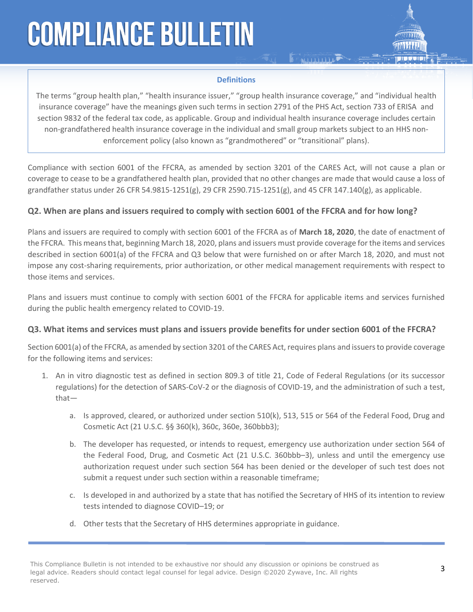

#### **Definitions**

**ENTITLE PROPERTY** 

The terms "group health plan," "health insurance issuer," "group health insurance coverage," and "individual health insurance coverage" have the meanings given such terms in section 2791 of the PHS Act, section 733 of ERISA and section 9832 of the federal tax code, as applicable. Group and individual health insurance coverage includes certain non-grandfathered health insurance coverage in the individual and small group markets subject to an HHS nonenforcement policy (also known as "grandmothered" or "transitional" plans).

Compliance with section 6001 of the FFCRA, as amended by section 3201 of the CARES Act, will not cause a plan or coverage to cease to be a grandfathered health plan, provided that no other changes are made that would cause a loss of grandfather status under 26 CFR 54.9815-1251(g), 29 CFR 2590.715-1251(g), and 45 CFR 147.140(g), as applicable.

#### **Q2. When are plans and issuers required to comply with section 6001 of the FFCRA and for how long?**

Plans and issuers are required to comply with section 6001 of the FFCRA as of **March 18, 2020**, the date of enactment of the FFCRA. This means that, beginning March 18, 2020, plans and issuers must provide coverage for the items and services described in section 6001(a) of the FFCRA and Q3 below that were furnished on or after March 18, 2020, and must not impose any cost-sharing requirements, prior authorization, or other medical management requirements with respect to those items and services.

Plans and issuers must continue to comply with section 6001 of the FFCRA for applicable items and services furnished during the public health emergency related to COVID-19.

#### **Q3. What items and services must plans and issuers provide benefits for under section 6001 of the FFCRA?**

Section 6001(a) of the FFCRA, as amended by section 3201 of the CARES Act, requires plans and issuers to provide coverage for the following items and services:

- 1. An in vitro diagnostic test as defined in section 809.3 of title 21, Code of Federal Regulations (or its successor regulations) for the detection of SARS-CoV-2 or the diagnosis of COVID-19, and the administration of such a test, that
	- a. Is approved, cleared, or authorized under section 510(k), 513, 515 or 564 of the Federal Food, Drug and Cosmetic Act (21 U.S.C. §§ 360(k), 360c, 360e, 360bbb3);
	- b. The developer has requested, or intends to request, emergency use authorization under section 564 of the Federal Food, Drug, and Cosmetic Act (21 U.S.C. 360bbb–3), unless and until the emergency use authorization request under such section 564 has been denied or the developer of such test does not submit a request under such section within a reasonable timeframe;
	- c. Is developed in and authorized by a state that has notified the Secretary of HHS of its intention to review tests intended to diagnose COVID–19; or
	- d. Other tests that the Secretary of HHS determines appropriate in guidance.

This Compliance Bulletin is not intended to be exhaustive nor should any discussion or opinions be construed as legal advice. Readers should contact legal counsel for legal advice. Design ©2020 Zywave, Inc. All rights reserved.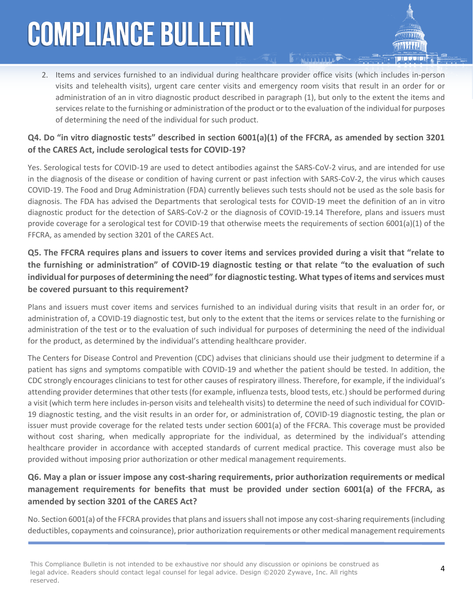2. Items and services furnished to an individual during healthcare provider office visits (which includes in-person visits and telehealth visits), urgent care center visits and emergency room visits that result in an order for or administration of an in vitro diagnostic product described in paragraph (1), but only to the extent the items and services relate to the furnishing or administration of the product or to the evaluation of the individual for purposes of determining the need of the individual for such product.

#### **Q4. Do "in vitro diagnostic tests" described in section 6001(a)(1) of the FFCRA, as amended by section 3201 of the CARES Act, include serological tests for COVID-19?**

Yes. Serological tests for COVID-19 are used to detect antibodies against the SARS-CoV-2 virus, and are intended for use in the diagnosis of the disease or condition of having current or past infection with SARS-CoV-2, the virus which causes COVID-19. The Food and Drug Administration (FDA) currently believes such tests should not be used as the sole basis for diagnosis. The FDA has advised the Departments that serological tests for COVID-19 meet the definition of an in vitro diagnostic product for the detection of SARS-CoV-2 or the diagnosis of COVID-19.14 Therefore, plans and issuers must provide coverage for a serological test for COVID-19 that otherwise meets the requirements of section 6001(a)(1) of the FFCRA, as amended by section 3201 of the CARES Act.

#### **Q5. The FFCRA requires plans and issuers to cover items and services provided during a visit that "relate to the furnishing or administration" of COVID-19 diagnostic testing or that relate "to the evaluation of such individual for purposes of determining the need" for diagnostic testing. What types of items and services must be covered pursuant to this requirement?**

Plans and issuers must cover items and services furnished to an individual during visits that result in an order for, or administration of, a COVID-19 diagnostic test, but only to the extent that the items or services relate to the furnishing or administration of the test or to the evaluation of such individual for purposes of determining the need of the individual for the product, as determined by the individual's attending healthcare provider.

The Centers for Disease Control and Prevention (CDC) advises that clinicians should use their judgment to determine if a patient has signs and symptoms compatible with COVID-19 and whether the patient should be tested. In addition, the CDC strongly encourages clinicians to test for other causes of respiratory illness. Therefore, for example, if the individual's attending provider determines that other tests (for example, influenza tests, blood tests, etc.) should be performed during a visit (which term here includes in-person visits and telehealth visits) to determine the need of such individual for COVID-19 diagnostic testing, and the visit results in an order for, or administration of, COVID-19 diagnostic testing, the plan or issuer must provide coverage for the related tests under section 6001(a) of the FFCRA. This coverage must be provided without cost sharing, when medically appropriate for the individual, as determined by the individual's attending healthcare provider in accordance with accepted standards of current medical practice. This coverage must also be provided without imposing prior authorization or other medical management requirements.

#### **Q6. May a plan or issuer impose any cost-sharing requirements, prior authorization requirements or medical management requirements for benefits that must be provided under section 6001(a) of the FFCRA, as amended by section 3201 of the CARES Act?**

No. Section 6001(a) of the FFCRA provides that plans and issuers shall not impose any cost-sharing requirements (including deductibles, copayments and coinsurance), prior authorization requirements or other medical management requirements

This Compliance Bulletin is not intended to be exhaustive nor should any discussion or opinions be construed as legal advice. Readers should contact legal counsel for legal advice. Design ©2020 Zywave, Inc. All rights reserved.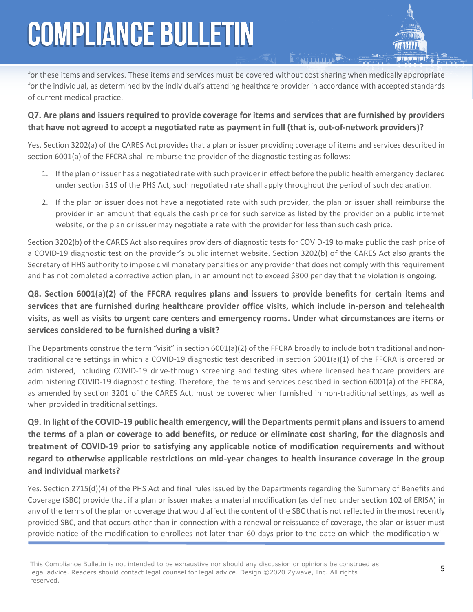for these items and services. These items and services must be covered without cost sharing when medically appropriate for the individual, as determined by the individual's attending healthcare provider in accordance with accepted standards of current medical practice.

#### **Q7. Are plans and issuers required to provide coverage for items and services that are furnished by providers that have not agreed to accept a negotiated rate as payment in full (that is, out-of-network providers)?**

Yes. Section 3202(a) of the CARES Act provides that a plan or issuer providing coverage of items and services described in section 6001(a) of the FFCRA shall reimburse the provider of the diagnostic testing as follows:

- 1. If the plan or issuer has a negotiated rate with such provider in effect before the public health emergency declared under section 319 of the PHS Act, such negotiated rate shall apply throughout the period of such declaration.
- 2. If the plan or issuer does not have a negotiated rate with such provider, the plan or issuer shall reimburse the provider in an amount that equals the cash price for such service as listed by the provider on a public internet website, or the plan or issuer may negotiate a rate with the provider for less than such cash price.

Section 3202(b) of the CARES Act also requires providers of diagnostic tests for COVID-19 to make public the cash price of a COVID-19 diagnostic test on the provider's public internet website. Section 3202(b) of the CARES Act also grants the Secretary of HHS authority to impose civil monetary penalties on any provider that does not comply with this requirement and has not completed a corrective action plan, in an amount not to exceed \$300 per day that the violation is ongoing.

#### **Q8. Section 6001(a)(2) of the FFCRA requires plans and issuers to provide benefits for certain items and services that are furnished during healthcare provider office visits, which include in-person and telehealth visits, as well as visits to urgent care centers and emergency rooms. Under what circumstances are items or services considered to be furnished during a visit?**

The Departments construe the term "visit" in section 6001(a)(2) of the FFCRA broadly to include both traditional and nontraditional care settings in which a COVID-19 diagnostic test described in section 6001(a)(1) of the FFCRA is ordered or administered, including COVID-19 drive-through screening and testing sites where licensed healthcare providers are administering COVID-19 diagnostic testing. Therefore, the items and services described in section 6001(a) of the FFCRA, as amended by section 3201 of the CARES Act, must be covered when furnished in non-traditional settings, as well as when provided in traditional settings.

**Q9. In light of the COVID-19 public health emergency, will the Departments permit plans and issuers to amend the terms of a plan or coverage to add benefits, or reduce or eliminate cost sharing, for the diagnosis and treatment of COVID-19 prior to satisfying any applicable notice of modification requirements and without regard to otherwise applicable restrictions on mid-year changes to health insurance coverage in the group and individual markets?**

Yes. Section 2715(d)(4) of the PHS Act and final rules issued by the Departments regarding the Summary of Benefits and Coverage (SBC) provide that if a plan or issuer makes a material modification (as defined under section 102 of ERISA) in any of the terms of the plan or coverage that would affect the content of the SBC that is not reflected in the most recently provided SBC, and that occurs other than in connection with a renewal or reissuance of coverage, the plan or issuer must provide notice of the modification to enrollees not later than 60 days prior to the date on which the modification will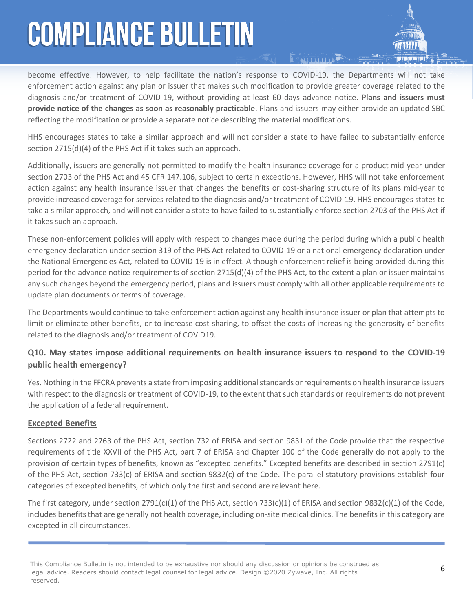become effective. However, to help facilitate the nation's response to COVID-19, the Departments will not take enforcement action against any plan or issuer that makes such modification to provide greater coverage related to the diagnosis and/or treatment of COVID-19, without providing at least 60 days advance notice. **Plans and issuers must provide notice of the changes as soon as reasonably practicable**. Plans and issuers may either provide an updated SBC reflecting the modification or provide a separate notice describing the material modifications.

 $\sum_{i=1}^{n}$ 

HHS encourages states to take a similar approach and will not consider a state to have failed to substantially enforce section 2715(d)(4) of the PHS Act if it takes such an approach.

Additionally, issuers are generally not permitted to modify the health insurance coverage for a product mid-year under section 2703 of the PHS Act and 45 CFR 147.106, subject to certain exceptions. However, HHS will not take enforcement action against any health insurance issuer that changes the benefits or cost-sharing structure of its plans mid-year to provide increased coverage for services related to the diagnosis and/or treatment of COVID-19. HHS encourages states to take a similar approach, and will not consider a state to have failed to substantially enforce section 2703 of the PHS Act if it takes such an approach.

These non-enforcement policies will apply with respect to changes made during the period during which a public health emergency declaration under section 319 of the PHS Act related to COVID-19 or a national emergency declaration under the National Emergencies Act, related to COVID-19 is in effect. Although enforcement relief is being provided during this period for the advance notice requirements of section 2715(d)(4) of the PHS Act, to the extent a plan or issuer maintains any such changes beyond the emergency period, plans and issuers must comply with all other applicable requirements to update plan documents or terms of coverage.

The Departments would continue to take enforcement action against any health insurance issuer or plan that attempts to limit or eliminate other benefits, or to increase cost sharing, to offset the costs of increasing the generosity of benefits related to the diagnosis and/or treatment of COVID19.

#### **Q10. May states impose additional requirements on health insurance issuers to respond to the COVID-19 public health emergency?**

Yes. Nothing in the FFCRA prevents a state from imposing additional standards or requirements on health insurance issuers with respect to the diagnosis or treatment of COVID-19, to the extent that such standards or requirements do not prevent the application of a federal requirement.

#### **Excepted Benefits**

Sections 2722 and 2763 of the PHS Act, section 732 of ERISA and section 9831 of the Code provide that the respective requirements of title XXVII of the PHS Act, part 7 of ERISA and Chapter 100 of the Code generally do not apply to the provision of certain types of benefits, known as "excepted benefits." Excepted benefits are described in section 2791(c) of the PHS Act, section 733(c) of ERISA and section 9832(c) of the Code. The parallel statutory provisions establish four categories of excepted benefits, of which only the first and second are relevant here.

The first category, under section 2791(c)(1) of the PHS Act, section 733(c)(1) of ERISA and section 9832(c)(1) of the Code, includes benefits that are generally not health coverage, including on-site medical clinics. The benefits in this category are excepted in all circumstances.

This Compliance Bulletin is not intended to be exhaustive nor should any discussion or opinions be construed as legal advice. Readers should contact legal counsel for legal advice. Design ©2020 Zywave, Inc. All rights reserved.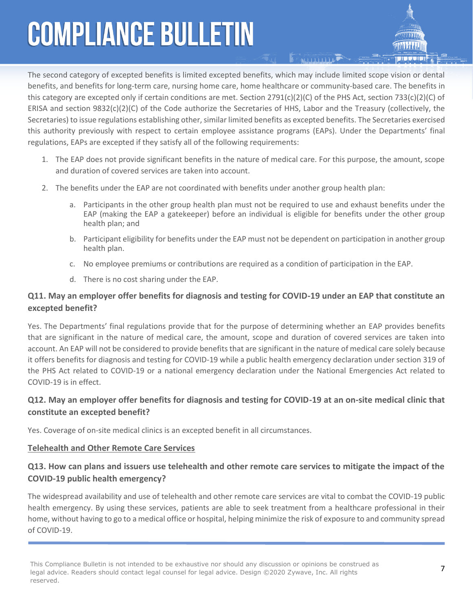The second category of excepted benefits is limited excepted benefits, which may include limited scope vision or dental benefits, and benefits for long-term care, nursing home care, home healthcare or community-based care. The benefits in this category are excepted only if certain conditions are met. Section  $2791(c)(2)(C)$  of the PHS Act, section 733(c)(2)(C) of ERISA and section 9832(c)(2)(C) of the Code authorize the Secretaries of HHS, Labor and the Treasury (collectively, the Secretaries) to issue regulations establishing other, similar limited benefits as excepted benefits. The Secretaries exercised this authority previously with respect to certain employee assistance programs (EAPs). Under the Departments' final regulations, EAPs are excepted if they satisfy all of the following requirements:

**MITTITLE** 

- 1. The EAP does not provide significant benefits in the nature of medical care. For this purpose, the amount, scope and duration of covered services are taken into account.
- 2. The benefits under the EAP are not coordinated with benefits under another group health plan:
	- a. Participants in the other group health plan must not be required to use and exhaust benefits under the EAP (making the EAP a gatekeeper) before an individual is eligible for benefits under the other group health plan; and
	- b. Participant eligibility for benefits under the EAP must not be dependent on participation in another group health plan.
	- c. No employee premiums or contributions are required as a condition of participation in the EAP.
	- d. There is no cost sharing under the EAP.

#### **Q11. May an employer offer benefits for diagnosis and testing for COVID-19 under an EAP that constitute an excepted benefit?**

Yes. The Departments' final regulations provide that for the purpose of determining whether an EAP provides benefits that are significant in the nature of medical care, the amount, scope and duration of covered services are taken into account. An EAP will not be considered to provide benefits that are significant in the nature of medical care solely because it offers benefits for diagnosis and testing for COVID-19 while a public health emergency declaration under section 319 of the PHS Act related to COVID-19 or a national emergency declaration under the National Emergencies Act related to COVID-19 is in effect.

#### **Q12. May an employer offer benefits for diagnosis and testing for COVID-19 at an on-site medical clinic that constitute an excepted benefit?**

Yes. Coverage of on-site medical clinics is an excepted benefit in all circumstances.

#### **Telehealth and Other Remote Care Services**

#### **Q13. How can plans and issuers use telehealth and other remote care services to mitigate the impact of the COVID-19 public health emergency?**

The widespread availability and use of telehealth and other remote care services are vital to combat the COVID-19 public health emergency. By using these services, patients are able to seek treatment from a healthcare professional in their home, without having to go to a medical office or hospital, helping minimize the risk of exposure to and community spread of COVID-19.

This Compliance Bulletin is not intended to be exhaustive nor should any discussion or opinions be construed as legal advice. Readers should contact legal counsel for legal advice. Design ©2020 Zywave, Inc. All rights reserved.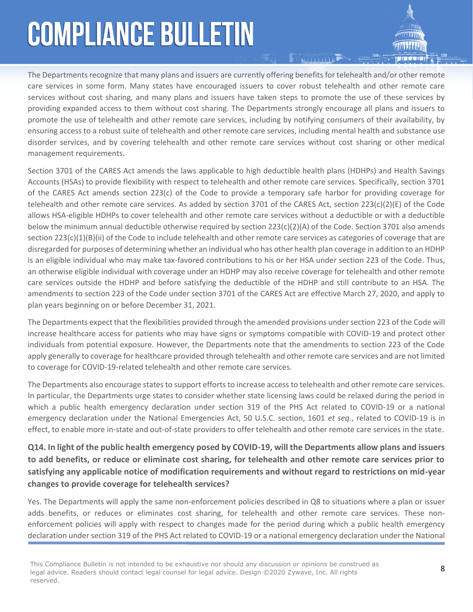The Departments recognize that many plans and issuers are currently offering benefits for telehealth and/or other remote care services in some form. Many states have encouraged issuers to cover robust telehealth and other remote care services without cost sharing, and many plans and issuers have taken steps to promote the use of these services by providing expanded access to them without cost sharing. The Departments strongly encourage all plans and issuers to promote the use of telehealth and other remote care services, including by notifying consumers of their availability, by ensuring access to a robust suite of telehealth and other remote care services, including mental health and substance use disorder services, and by covering telehealth and other remote care services without cost sharing or other medical management requirements.

**NULLIUM** 

Section 3701 of the CARES Act amends the laws applicable to high deductible health plans (HDHPs) and Health Savings Accounts (HSAs) to provide flexibility with respect to telehealth and other remote care services. Specifically, section 3701 of the CARES Act amends section 223(c) of the Code to provide a temporary safe harbor for providing coverage for telehealth and other remote care services. As added by section 3701 of the CARES Act, section 223(c)(2)(E) of the Code allows HSA-eligible HDHPs to cover telehealth and other remote care services without a deductible or with a deductible below the minimum annual deductible otherwise required by section 223(c)(2)(A) of the Code. Section 3701 also amends section  $223(c)(1)(B)(ii)$  of the Code to include telehealth and other remote care services as categories of coverage that are disregarded for purposes of determining whether an individual who has other health plan coverage in addition to an HDHP is an eligible individual who may make tax-favored contributions to his or her HSA under section 223 of the Code. Thus, an otherwise eligible individual with coverage under an HDHP may also receive coverage for telehealth and other remote care services outside the HDHP and before satisfying the deductible of the HDHP and still contribute to an HSA. The amendments to section 223 of the Code under section 3701 of the CARES Act are effective March 27, 2020, and apply to plan years beginning on or before December 31, 2021.

The Departments expect that the flexibilities provided through the amended provisions under section 223 of the Code will increase healthcare access for patients who may have signs or symptoms compatible with COVID-19 and protect other individuals from potential exposure. However, the Departments note that the amendments to section 223 of the Code apply generally to coverage for healthcare provided through telehealth and other remote care services and are not limited to coverage for COVID-19-related telehealth and other remote care services.

The Departments also encourage states to support efforts to increase access to telehealth and other remote care services. In particular, the Departments urge states to consider whether state licensing laws could be relaxed during the period in which a public health emergency declaration under section 319 of the PHS Act related to COVID-19 or a national emergency declaration under the National Emergencies Act, 50 U.S.C. section, 1601 *et seq*., related to COVID-19 is in effect, to enable more in-state and out-of-state providers to offer telehealth and other remote care services in the state.

#### **Q14. In light of the public health emergency posed by COVID-19, will the Departments allow plans and issuers to add benefits, or reduce or eliminate cost sharing, for telehealth and other remote care services prior to satisfying any applicable notice of modification requirements and without regard to restrictions on mid-year changes to provide coverage for telehealth services?**

Yes. The Departments will apply the same non-enforcement policies described in Q8 to situations where a plan or issuer adds benefits, or reduces or eliminates cost sharing, for telehealth and other remote care services. These nonenforcement policies will apply with respect to changes made for the period during which a public health emergency declaration under section 319 of the PHS Act related to COVID-19 or a national emergency declaration under the National